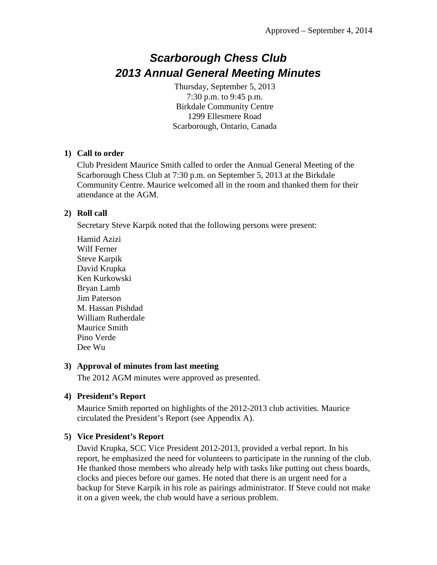# *Scarborough Chess Club 2013 Annual General Meeting Minutes*

Thursday, September 5, 2013 7:30 p.m. to 9:45 p.m. Birkdale Community Centre 1299 Ellesmere Road Scarborough, Ontario, Canada

#### **1) Call to order**

Club President Maurice Smith called to order the Annual General Meeting of the Scarborough Chess Club at 7:30 p.m. on September 5, 2013 at the Birkdale Community Centre. Maurice welcomed all in the room and thanked them for their attendance at the AGM.

#### **2) Roll call**

Secretary Steve Karpik noted that the following persons were present:

Hamid Azizi Wilf Ferner Steve Karpik David Krupka Ken Kurkowski Bryan Lamb Jim Paterson M. Hassan Pishdad William Rutherdale Maurice Smith Pino Verde Dee Wu

#### **3) Approval of minutes from last meeting**

The 2012 AGM minutes were approved as presented.

#### **4) President's Report**

Maurice Smith reported on highlights of the 2012-2013 club activities. Maurice circulated the President's Report (see Appendix A).

#### **5) Vice President's Report**

David Krupka, SCC Vice President 2012-2013, provided a verbal report. In his report, he emphasized the need for volunteers to participate in the running of the club. He thanked those members who already help with tasks like putting out chess boards, clocks and pieces before our games. He noted that there is an urgent need for a backup for Steve Karpik in his role as pairings administrator. If Steve could not make it on a given week, the club would have a serious problem.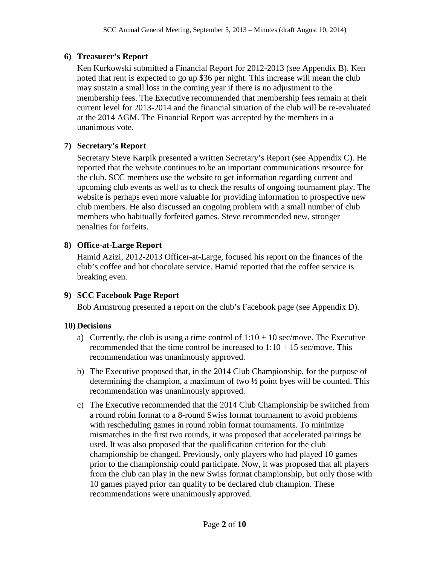## **6) Treasurer's Report**

Ken Kurkowski submitted a Financial Report for 2012-2013 (see Appendix B). Ken noted that rent is expected to go up \$36 per night. This increase will mean the club may sustain a small loss in the coming year if there is no adjustment to the membership fees. The Executive recommended that membership fees remain at their current level for 2013-2014 and the financial situation of the club will be re-evaluated at the 2014 AGM. The Financial Report was accepted by the members in a unanimous vote.

## **7) Secretary's Report**

Secretary Steve Karpik presented a written Secretary's Report (see Appendix C). He reported that the website continues to be an important communications resource for the club. SCC members use the website to get information regarding current and upcoming club events as well as to check the results of ongoing tournament play. The website is perhaps even more valuable for providing information to prospective new club members. He also discussed an ongoing problem with a small number of club members who habitually forfeited games. Steve recommended new, stronger penalties for forfeits.

## **8) Office-at-Large Report**

Hamid Azizi, 2012-2013 Officer-at-Large, focused his report on the finances of the club's coffee and hot chocolate service. Hamid reported that the coffee service is breaking even.

## **9) SCC Facebook Page Report**

Bob Armstrong presented a report on the club's Facebook page (see Appendix D).

## **10) Decisions**

- a) Currently, the club is using a time control of  $1:10 + 10$  sec/move. The Executive recommended that the time control be increased to  $1:10 + 15$  sec/move. This recommendation was unanimously approved.
- b) The Executive proposed that, in the 2014 Club Championship, for the purpose of determining the champion, a maximum of two ½ point byes will be counted. This recommendation was unanimously approved.
- c) The Executive recommended that the 2014 Club Championship be switched from a round robin format to a 8-round Swiss format tournament to avoid problems with rescheduling games in round robin format tournaments. To minimize mismatches in the first two rounds, it was proposed that accelerated pairings be used. It was also proposed that the qualification criterion for the club championship be changed. Previously, only players who had played 10 games prior to the championship could participate. Now, it was proposed that all players from the club can play in the new Swiss format championship, but only those with 10 games played prior can qualify to be declared club champion. These recommendations were unanimously approved.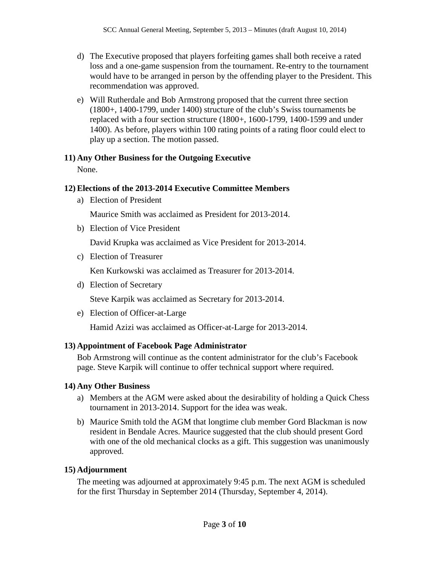- d) The Executive proposed that players forfeiting games shall both receive a rated loss and a one-game suspension from the tournament. Re-entry to the tournament would have to be arranged in person by the offending player to the President. This recommendation was approved.
- e) Will Rutherdale and Bob Armstrong proposed that the current three section (1800+, 1400-1799, under 1400) structure of the club's Swiss tournaments be replaced with a four section structure (1800+, 1600-1799, 1400-1599 and under 1400). As before, players within 100 rating points of a rating floor could elect to play up a section. The motion passed.

#### **11) Any Other Business for the Outgoing Executive**

None.

#### **12) Elections of the 2013-2014 Executive Committee Members**

a) Election of President

Maurice Smith was acclaimed as President for 2013-2014.

b) Election of Vice President

David Krupka was acclaimed as Vice President for 2013-2014.

c) Election of Treasurer

Ken Kurkowski was acclaimed as Treasurer for 2013-2014.

d) Election of Secretary

Steve Karpik was acclaimed as Secretary for 2013-2014.

e) Election of Officer-at-Large

Hamid Azizi was acclaimed as Officer-at-Large for 2013-2014.

#### **13) Appointment of Facebook Page Administrator**

Bob Armstrong will continue as the content administrator for the club's Facebook page. Steve Karpik will continue to offer technical support where required.

#### **14) Any Other Business**

- a) Members at the AGM were asked about the desirability of holding a Quick Chess tournament in 2013-2014. Support for the idea was weak.
- b) Maurice Smith told the AGM that longtime club member Gord Blackman is now resident in Bendale Acres. Maurice suggested that the club should present Gord with one of the old mechanical clocks as a gift. This suggestion was unanimously approved.

#### **15) Adjournment**

The meeting was adjourned at approximately 9:45 p.m. The next AGM is scheduled for the first Thursday in September 2014 (Thursday, September 4, 2014).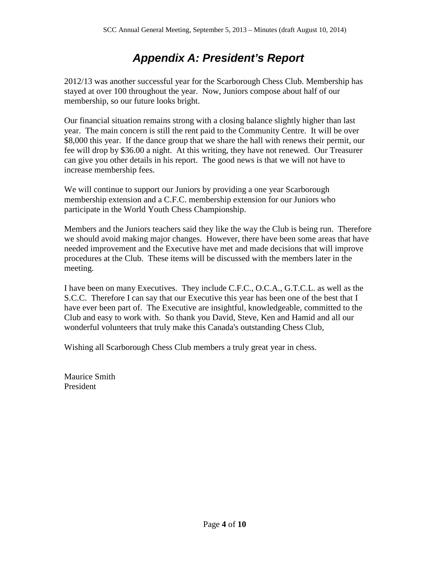## *Appendix A: President's Report*

2012/13 was another successful year for the Scarborough Chess Club. Membership has stayed at over 100 throughout the year. Now, Juniors compose about half of our membership, so our future looks bright.

Our financial situation remains strong with a closing balance slightly higher than last year. The main concern is still the rent paid to the Community Centre. It will be over \$8,000 this year. If the dance group that we share the hall with renews their permit, our fee will drop by \$36.00 a night. At this writing, they have not renewed. Our Treasurer can give you other details in his report. The good news is that we will not have to increase membership fees.

We will continue to support our Juniors by providing a one year Scarborough membership extension and a C.F.C. membership extension for our Juniors who participate in the World Youth Chess Championship.

Members and the Juniors teachers said they like the way the Club is being run. Therefore we should avoid making major changes. However, there have been some areas that have needed improvement and the Executive have met and made decisions that will improve procedures at the Club. These items will be discussed with the members later in the meeting.

I have been on many Executives. They include C.F.C., O.C.A., G.T.C.L. as well as the S.C.C. Therefore I can say that our Executive this year has been one of the best that I have ever been part of. The Executive are insightful, knowledgeable, committed to the Club and easy to work with. So thank you David, Steve, Ken and Hamid and all our wonderful volunteers that truly make this Canada's outstanding Chess Club,

Wishing all Scarborough Chess Club members a truly great year in chess.

Maurice Smith President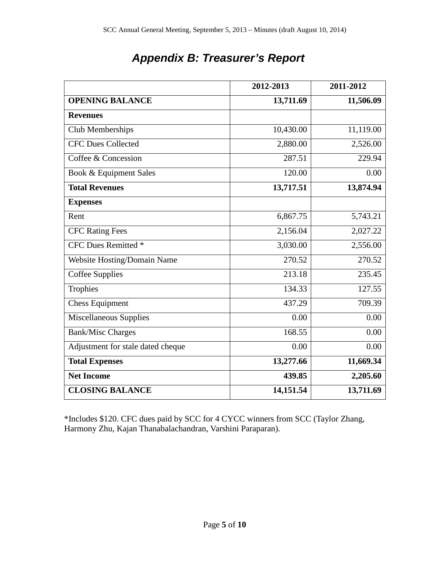|                                   | 2012-2013 | 2011-2012 |
|-----------------------------------|-----------|-----------|
| <b>OPENING BALANCE</b>            | 13,711.69 | 11,506.09 |
| <b>Revenues</b>                   |           |           |
| Club Memberships                  | 10,430.00 | 11,119.00 |
| <b>CFC Dues Collected</b>         | 2,880.00  | 2,526.00  |
| Coffee & Concession               | 287.51    | 229.94    |
| Book & Equipment Sales            | 120.00    | 0.00      |
| <b>Total Revenues</b>             | 13,717.51 | 13,874.94 |
| <b>Expenses</b>                   |           |           |
| Rent                              | 6,867.75  | 5,743.21  |
| <b>CFC Rating Fees</b>            | 2,156.04  | 2,027.22  |
| <b>CFC Dues Remitted *</b>        | 3,030.00  | 2,556.00  |
| Website Hosting/Domain Name       | 270.52    | 270.52    |
| <b>Coffee Supplies</b>            | 213.18    | 235.45    |
| Trophies                          | 134.33    | 127.55    |
| <b>Chess Equipment</b>            | 437.29    | 709.39    |
| Miscellaneous Supplies            | 0.00      | 0.00      |
| <b>Bank/Misc Charges</b>          | 168.55    | 0.00      |
| Adjustment for stale dated cheque | 0.00      | 0.00      |
| <b>Total Expenses</b>             | 13,277.66 | 11,669.34 |
| <b>Net Income</b>                 | 439.85    | 2,205.60  |
| <b>CLOSING BALANCE</b>            | 14,151.54 | 13,711.69 |

# *Appendix B: Treasurer's Report*

\*Includes \$120. CFC dues paid by SCC for 4 CYCC winners from SCC (Taylor Zhang, Harmony Zhu, Kajan Thanabalachandran, Varshini Paraparan).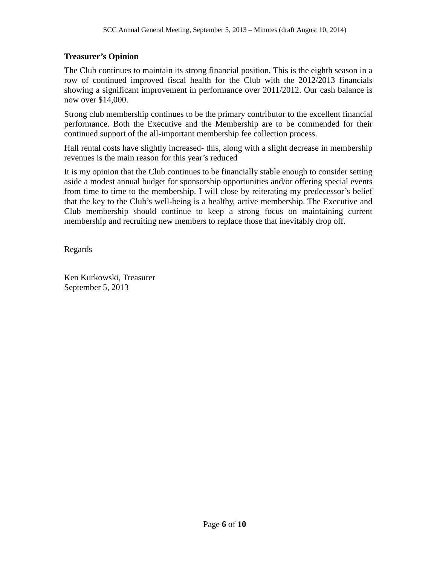## **Treasurer's Opinion**

The Club continues to maintain its strong financial position. This is the eighth season in a row of continued improved fiscal health for the Club with the 2012/2013 financials showing a significant improvement in performance over 2011/2012. Our cash balance is now over \$14,000.

Strong club membership continues to be the primary contributor to the excellent financial performance. Both the Executive and the Membership are to be commended for their continued support of the all-important membership fee collection process.

Hall rental costs have slightly increased- this, along with a slight decrease in membership revenues is the main reason for this year's reduced

It is my opinion that the Club continues to be financially stable enough to consider setting aside a modest annual budget for sponsorship opportunities and/or offering special events from time to time to the membership. I will close by reiterating my predecessor's belief that the key to the Club's well-being is a healthy, active membership. The Executive and Club membership should continue to keep a strong focus on maintaining current membership and recruiting new members to replace those that inevitably drop off.

Regards

Ken Kurkowski, Treasurer September 5, 2013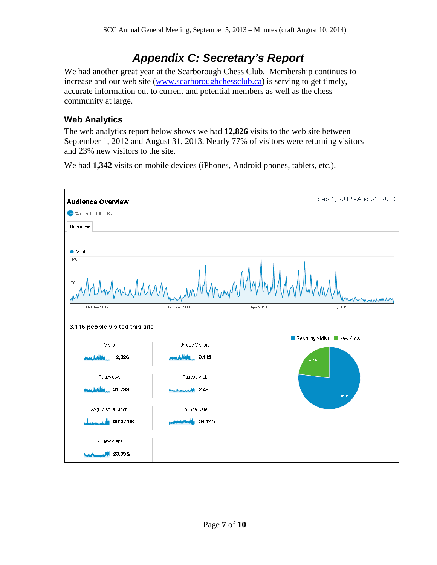## *Appendix C: Secretary's Report*

We had another great year at the Scarborough Chess Club. Membership continues to increase and our web site [\(www.scarboroughchessclub.ca\)](http://www.scarboroughchessclub.ca/) is serving to get timely, accurate information out to current and potential members as well as the chess community at large.

#### **Web Analytics**

The web analytics report below shows we had **12,826** visits to the web site between September 1, 2012 and August 31, 2013. Nearly 77% of visitors were returning visitors and 23% new visitors to the site.

We had **1,342** visits on mobile devices (iPhones, Android phones, tablets, etc.).

| <b>Audience Overview</b>                                       |                    | Sep 1, 2012 - Aug 31, 2013    |  |  |
|----------------------------------------------------------------|--------------------|-------------------------------|--|--|
| % of visits: 100.00%                                           |                    |                               |  |  |
| Overview                                                       |                    |                               |  |  |
| ● Visits                                                       |                    |                               |  |  |
| 140                                                            |                    |                               |  |  |
| 70<br>www                                                      |                    |                               |  |  |
| April 2013<br><b>July 2013</b><br>October 2012<br>January 2013 |                    |                               |  |  |
| 3,115 people visited this site                                 |                    |                               |  |  |
|                                                                |                    | Returning Visitor New Visitor |  |  |
| Visits                                                         | Unique Visitors    |                               |  |  |
| <b>UM ANN 12,826</b>                                           | 3,115              | 23.1%                         |  |  |
| Pageviews                                                      | Pages / Visit      |                               |  |  |
| <b>ANNAL</b> 31,799                                            | 2.48               | 26.9%                         |  |  |
| Avg. Visit Duration                                            | <b>Bounce Rate</b> |                               |  |  |
| 00:02:08 المستمل                                               | 38.12%             |                               |  |  |
| % New Visits                                                   |                    |                               |  |  |
| 23.09%                                                         |                    |                               |  |  |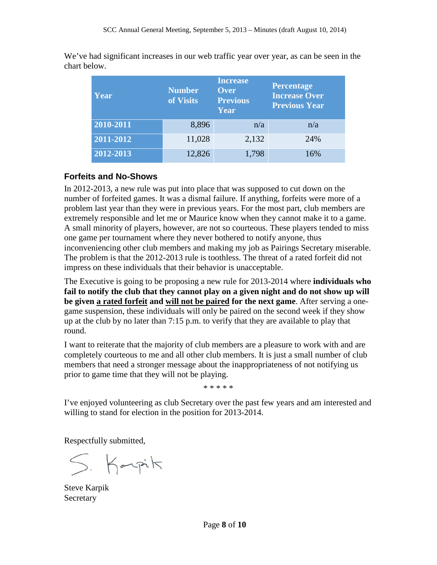| Year      | <b>Number</b><br>of Visits | <b>Increase</b><br>Over<br><b>Previous</b><br>Year | <b>Percentage</b><br><b>Increase Over</b><br><b>Previous Year</b> |
|-----------|----------------------------|----------------------------------------------------|-------------------------------------------------------------------|
| 2010-2011 | 8,896                      | n/a                                                | n/a                                                               |
| 2011-2012 | 11,028                     | 2,132                                              | 24%                                                               |
| 2012-2013 | 12,826                     | 1,798                                              | 16%                                                               |

We've had significant increases in our web traffic year over year, as can be seen in the chart below.

## **Forfeits and No-Shows**

In 2012-2013, a new rule was put into place that was supposed to cut down on the number of forfeited games. It was a dismal failure. If anything, forfeits were more of a problem last year than they were in previous years. For the most part, club members are extremely responsible and let me or Maurice know when they cannot make it to a game. A small minority of players, however, are not so courteous. These players tended to miss one game per tournament where they never bothered to notify anyone, thus inconveniencing other club members and making my job as Pairings Secretary miserable. The problem is that the 2012-2013 rule is toothless. The threat of a rated forfeit did not impress on these individuals that their behavior is unacceptable.

The Executive is going to be proposing a new rule for 2013-2014 where **individuals who fail to notify the club that they cannot play on a given night and do not show up will be given a rated forfeit and will not be paired for the next game**. After serving a onegame suspension, these individuals will only be paired on the second week if they show up at the club by no later than 7:15 p.m. to verify that they are available to play that round.

I want to reiterate that the majority of club members are a pleasure to work with and are completely courteous to me and all other club members. It is just a small number of club members that need a stronger message about the inappropriateness of not notifying us prior to game time that they will not be playing.

\* \* \* \* \*

I've enjoyed volunteering as club Secretary over the past few years and am interested and willing to stand for election in the position for 2013-2014.

Respectfully submitted,

S. Karpit

Steve Karpik Secretary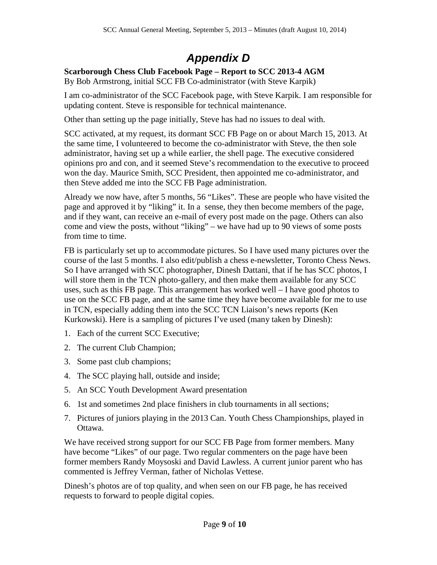# *Appendix D*

## **Scarborough Chess Club Facebook Page – Report to SCC 2013-4 AGM**

By Bob Armstrong, initial SCC FB Co-administrator (with Steve Karpik)

I am co-administrator of the SCC Facebook page, with Steve Karpik. I am responsible for updating content. Steve is responsible for technical maintenance.

Other than setting up the page initially, Steve has had no issues to deal with.

SCC activated, at my request, its dormant SCC FB Page on or about March 15, 2013. At the same time, I volunteered to become the co-administrator with Steve, the then sole administrator, having set up a while earlier, the shell page. The executive considered opinions pro and con, and it seemed Steve's recommendation to the executive to proceed won the day. Maurice Smith, SCC President, then appointed me co-administrator, and then Steve added me into the SCC FB Page administration.

Already we now have, after 5 months, 56 "Likes". These are people who have visited the page and approved it by "liking" it. In a sense, they then become members of the page, and if they want, can receive an e-mail of every post made on the page. Others can also come and view the posts, without "liking" – we have had up to 90 views of some posts from time to time.

FB is particularly set up to accommodate pictures. So I have used many pictures over the course of the last 5 months. I also edit/publish a chess e-newsletter, Toronto Chess News. So I have arranged with SCC photographer, Dinesh Dattani, that if he has SCC photos, I will store them in the TCN photo-gallery, and then make them available for any SCC uses, such as this FB page. This arrangement has worked well – I have good photos to use on the SCC FB page, and at the same time they have become available for me to use in TCN, especially adding them into the SCC TCN Liaison's news reports (Ken Kurkowski). Here is a sampling of pictures I've used (many taken by Dinesh):

- 1. Each of the current SCC Executive;
- 2. The current Club Champion;
- 3. Some past club champions;
- 4. The SCC playing hall, outside and inside;
- 5. An SCC Youth Development Award presentation
- 6. 1st and sometimes 2nd place finishers in club tournaments in all sections;
- 7. Pictures of juniors playing in the 2013 Can. Youth Chess Championships, played in Ottawa.

We have received strong support for our SCC FB Page from former members. Many have become "Likes" of our page. Two regular commenters on the page have been former members Randy Moysoski and David Lawless. A current junior parent who has commented is Jeffrey Verman, father of Nicholas Vettese.

Dinesh's photos are of top quality, and when seen on our FB page, he has received requests to forward to people digital copies.